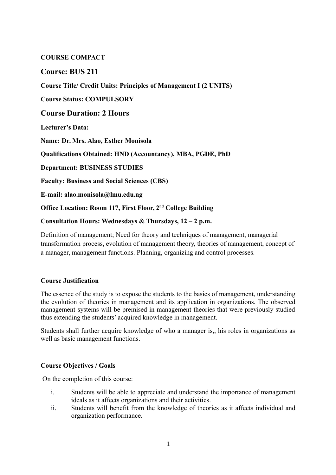## **COURSE COMPACT**

# **Course: BUS 211**

**Course Title/ Credit Units: Principles of Management I (2 UNITS)**

**Course Status: COMPULSORY**

# **Course Duration: 2 Hours**

**Lecturer's Data:** 

**Name: Dr. Mrs. Alao, Esther Monisola**

**Qualifications Obtained: HND (Accountancy), MBA, PGDE, PhD**

**Department: BUSINESS STUDIES**

**Faculty: Business and Social Sciences (CBS)**

**E-mail: alao.monisola@lmu.edu.ng**

**Office Location: Room 117, First Floor, 2nd College Building**

**Consultation Hours: Wednesdays & Thursdays, 12 – 2 p.m.** 

Definition of management; Need for theory and techniques of management, managerial transformation process, evolution of management theory, theories of management, concept of a manager, management functions. Planning, organizing and control processes.

### **Course Justification**

The essence of the study is to expose the students to the basics of management, understanding the evolution of theories in management and its application in organizations. The observed management systems will be premised in management theories that were previously studied thus extending the students' acquired knowledge in management.

Students shall further acquire knowledge of who a manager is,, his roles in organizations as well as basic management functions.

### **Course Objectives / Goals**

On the completion of this course:

- i. Students will be able to appreciate and understand the importance of management ideals as it affects organizations and their activities.
- ii. Students will benefit from the knowledge of theories as it affects individual and organization performance.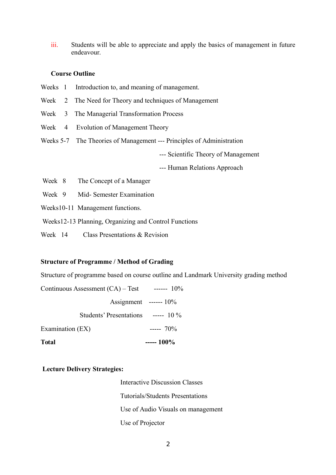iii. Students will be able to appreciate and apply the basics of management in future endeavour.

#### **Course Outline**

- Weeks 1 Introduction to, and meaning of management.
- Week 2 The Need for Theory and techniques of Management
- Week 3 The Managerial Transformation Process
- Week 4 Evolution of Management Theory
- Weeks 5-7 The Theories of Management --- Principles of Administration

--- Scientific Theory of Management

--- Human Relations Approach

- Week 8 The Concept of a Manager
- Week 9 Mid- Semester Examination
- Weeks10-11 Management functions.
- Weeks12-13 Planning, Organizing and Control Functions
- Week 14 Class Presentations & Revision

### **Structure of Programme / Method of Grading**

Structure of programme based on course outline and Landmark University grading method

| <b>Total</b>                              | $--- 100\%$              |
|-------------------------------------------|--------------------------|
| Examination (EX)                          | $--- 70\%$               |
| Students' Presentations $\sim$ ----- 10 % |                          |
|                                           | Assignment ------ $10\%$ |
| Continuous Assessment $(CA)$ – Test       | $--- 10\%$               |

#### **Lecture Delivery Strategies:**

 Interactive Discussion Classes Tutorials/Students Presentations Use of Audio Visuals on management Use of Projector